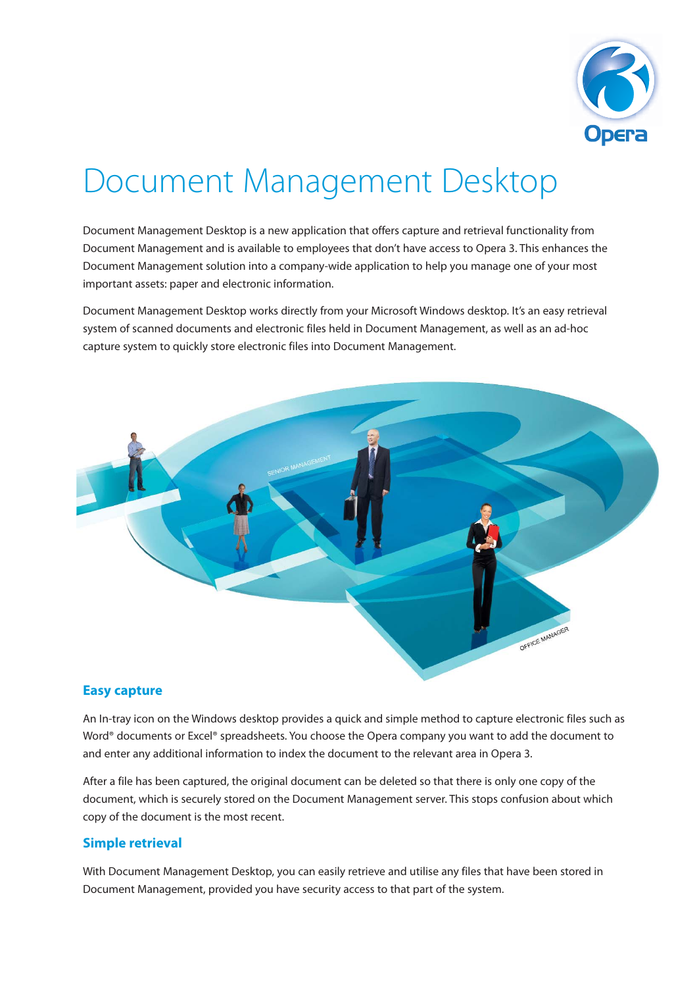

# Document Management Desktop

Document Management Desktop is a new application that offers capture and retrieval functionality from Document Management and is available to employees that don't have access to Opera 3. This enhances the Document Management solution into a company-wide application to help you manage one of your most important assets: paper and electronic information.

Document Management Desktop works directly from your Microsoft Windows desktop. It's an easy retrieval system of scanned documents and electronic files held in Document Management, as well as an ad-hoc capture system to quickly store electronic files into Document Management.



## **Easy capture**

An In-tray icon on the Windows desktop provides a quick and simple method to capture electronic files such as Word® documents or Excel® spreadsheets. You choose the Opera company you want to add the document to and enter any additional information to index the document to the relevant area in Opera 3.

After a file has been captured, the original document can be deleted so that there is only one copy of the document, which is securely stored on the Document Management server. This stops confusion about which copy of the document is the most recent.

## **Simple retrieval**

With Document Management Desktop, you can easily retrieve and utilise any files that have been stored in Document Management, provided you have security access to that part of the system.